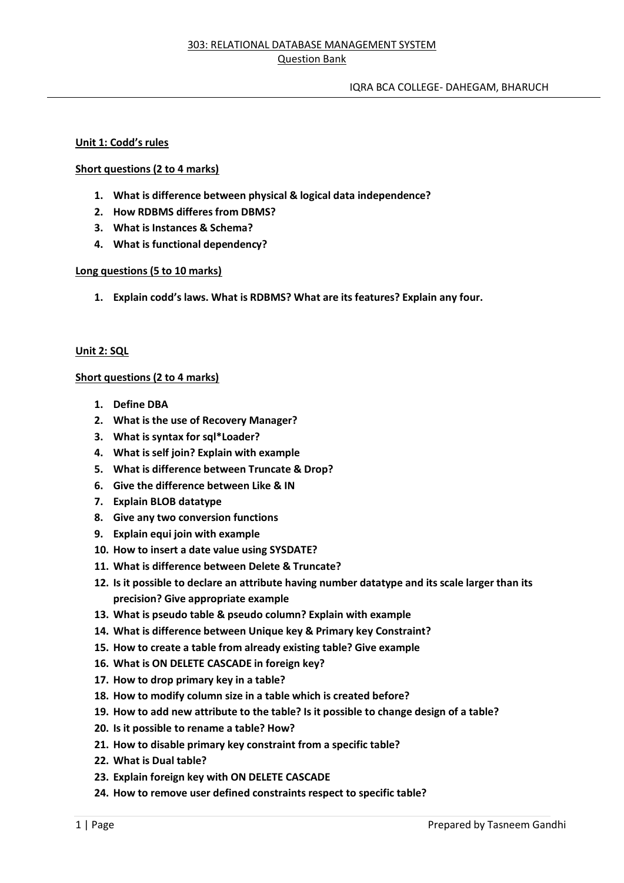# **Unit 1: Codd's rules**

# **Short questions (2 to 4 marks)**

- **1. What is difference between physical & logical data independence?**
- **2. How RDBMS differes from DBMS?**
- **3. What is Instances & Schema?**
- **4. What is functional dependency?**

# **Long questions (5 to 10 marks)**

**1. Explain codd's laws. What is RDBMS? What are its features? Explain any four.**

# **Unit 2: SQL**

# **Short questions (2 to 4 marks)**

- **1. Define DBA**
- **2. What is the use of Recovery Manager?**
- **3. What is syntax for sql\*Loader?**
- **4. What is self join? Explain with example**
- **5. What is difference between Truncate & Drop?**
- **6. Give the difference between Like & IN**
- **7. Explain BLOB datatype**
- **8. Give any two conversion functions**
- **9. Explain equi join with example**
- **10. How to insert a date value using SYSDATE?**
- **11. What is difference between Delete & Truncate?**
- **12. Is it possible to declare an attribute having number datatype and its scale larger than its precision? Give appropriate example**
- **13. What is pseudo table & pseudo column? Explain with example**
- **14. What is difference between Unique key & Primary key Constraint?**
- **15. How to create a table from already existing table? Give example**
- **16. What is ON DELETE CASCADE in foreign key?**
- **17. How to drop primary key in a table?**
- **18. How to modify column size in a table which is created before?**
- **19. How to add new attribute to the table? Is it possible to change design of a table?**
- **20. Is it possible to rename a table? How?**
- **21. How to disable primary key constraint from a specific table?**
- **22. What is Dual table?**
- **23. Explain foreign key with ON DELETE CASCADE**
- **24. How to remove user defined constraints respect to specific table?**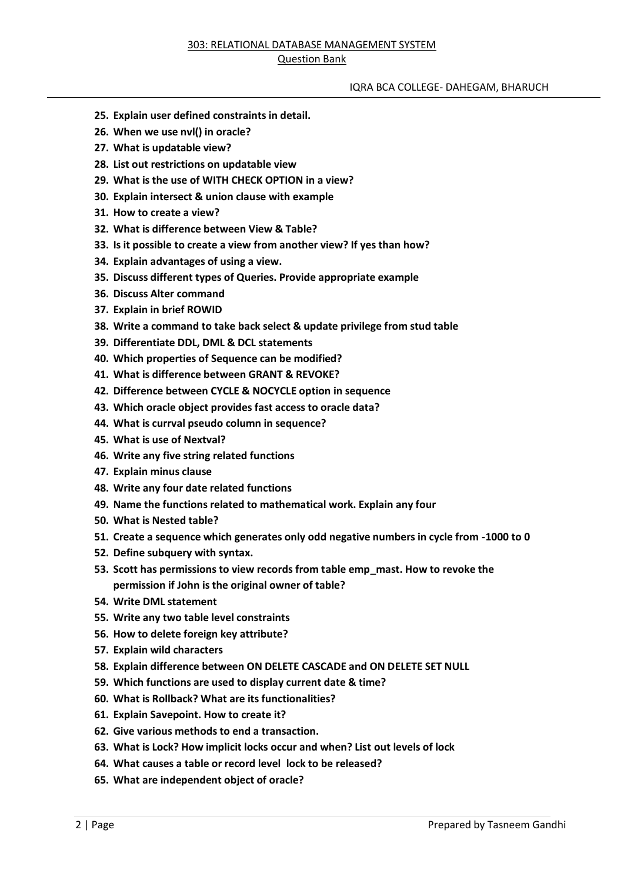#### IQRA BCA COLLEGE- DAHEGAM, BHARUCH

- **25. Explain user defined constraints in detail.**
- **26. When we use nvl() in oracle?**
- **27. What is updatable view?**
- **28. List out restrictions on updatable view**
- **29. What is the use of WITH CHECK OPTION in a view?**
- **30. Explain intersect & union clause with example**
- **31. How to create a view?**
- **32. What is difference between View & Table?**
- **33. Is it possible to create a view from another view? If yes than how?**
- **34. Explain advantages of using a view.**
- **35. Discuss different types of Queries. Provide appropriate example**
- **36. Discuss Alter command**
- **37. Explain in brief ROWID**
- **38. Write a command to take back select & update privilege from stud table**
- **39. Differentiate DDL, DML & DCL statements**
- **40. Which properties of Sequence can be modified?**
- **41. What is difference between GRANT & REVOKE?**
- **42. Difference between CYCLE & NOCYCLE option in sequence**
- **43. Which oracle object provides fast access to oracle data?**
- **44. What is currval pseudo column in sequence?**
- **45. What is use of Nextval?**
- **46. Write any five string related functions**
- **47. Explain minus clause**
- **48. Write any four date related functions**
- **49. Name the functions related to mathematical work. Explain any four**
- **50. What is Nested table?**
- **51. Create a sequence which generates only odd negative numbers in cycle from -1000 to 0**
- **52. Define subquery with syntax.**
- **53. Scott has permissions to view records from table emp\_mast. How to revoke the permission if John is the original owner of table?**
- **54. Write DML statement**
- **55. Write any two table level constraints**
- **56. How to delete foreign key attribute?**
- **57. Explain wild characters**
- **58. Explain difference between ON DELETE CASCADE and ON DELETE SET NULL**
- **59. Which functions are used to display current date & time?**
- **60. What is Rollback? What are its functionalities?**
- **61. Explain Savepoint. How to create it?**
- **62. Give various methods to end a transaction.**
- **63. What is Lock? How implicit locks occur and when? List out levels of lock**
- **64. What causes a table or record level lock to be released?**
- **65. What are independent object of oracle?**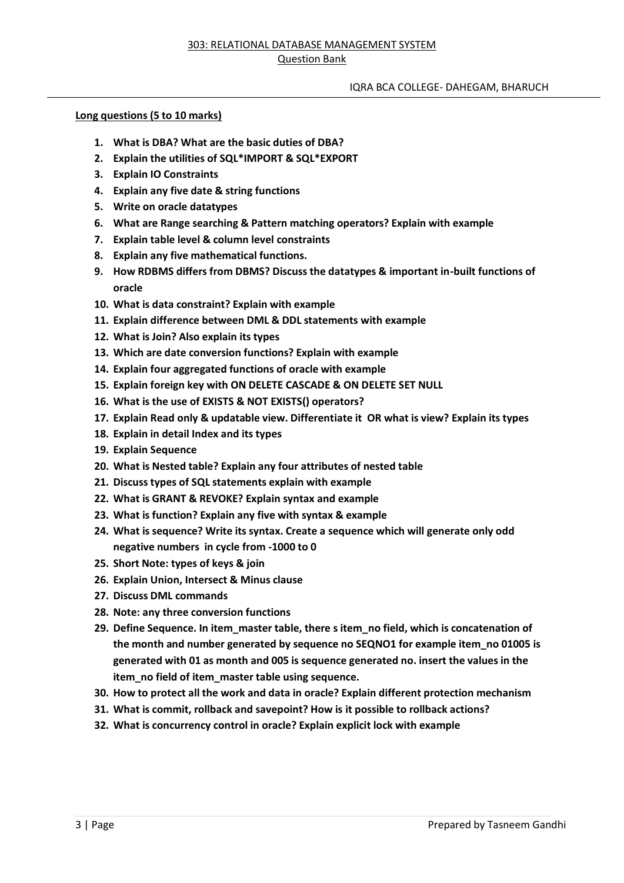# IQRA BCA COLLEGE- DAHEGAM, BHARUCH

# **Long questions (5 to 10 marks)**

- **1. What is DBA? What are the basic duties of DBA?**
- **2. Explain the utilities of SQL\*IMPORT & SQL\*EXPORT**
- **3. Explain IO Constraints**
- **4. Explain any five date & string functions**
- **5. Write on oracle datatypes**
- **6. What are Range searching & Pattern matching operators? Explain with example**
- **7. Explain table level & column level constraints**
- **8. Explain any five mathematical functions.**
- **9. How RDBMS differs from DBMS? Discuss the datatypes & important in-built functions of oracle**
- **10. What is data constraint? Explain with example**
- **11. Explain difference between DML & DDL statements with example**
- **12. What is Join? Also explain its types**
- **13. Which are date conversion functions? Explain with example**
- **14. Explain four aggregated functions of oracle with example**
- **15. Explain foreign key with ON DELETE CASCADE & ON DELETE SET NULL**
- **16. What is the use of EXISTS & NOT EXISTS() operators?**
- **17. Explain Read only & updatable view. Differentiate it OR what is view? Explain its types**
- **18. Explain in detail Index and its types**
- **19. Explain Sequence**
- **20. What is Nested table? Explain any four attributes of nested table**
- **21. Discuss types of SQL statements explain with example**
- **22. What is GRANT & REVOKE? Explain syntax and example**
- **23. What is function? Explain any five with syntax & example**
- **24. What is sequence? Write its syntax. Create a sequence which will generate only odd negative numbers in cycle from -1000 to 0**
- **25. Short Note: types of keys & join**
- **26. Explain Union, Intersect & Minus clause**
- **27. Discuss DML commands**
- **28. Note: any three conversion functions**
- **29. Define Sequence. In item\_master table, there s item\_no field, which is concatenation of the month and number generated by sequence no SEQNO1 for example item\_no 01005 is generated with 01 as month and 005 is sequence generated no. insert the values in the item\_no field of item\_master table using sequence.**
- **30. How to protect all the work and data in oracle? Explain different protection mechanism**
- **31. What is commit, rollback and savepoint? How is it possible to rollback actions?**
- **32. What is concurrency control in oracle? Explain explicit lock with example**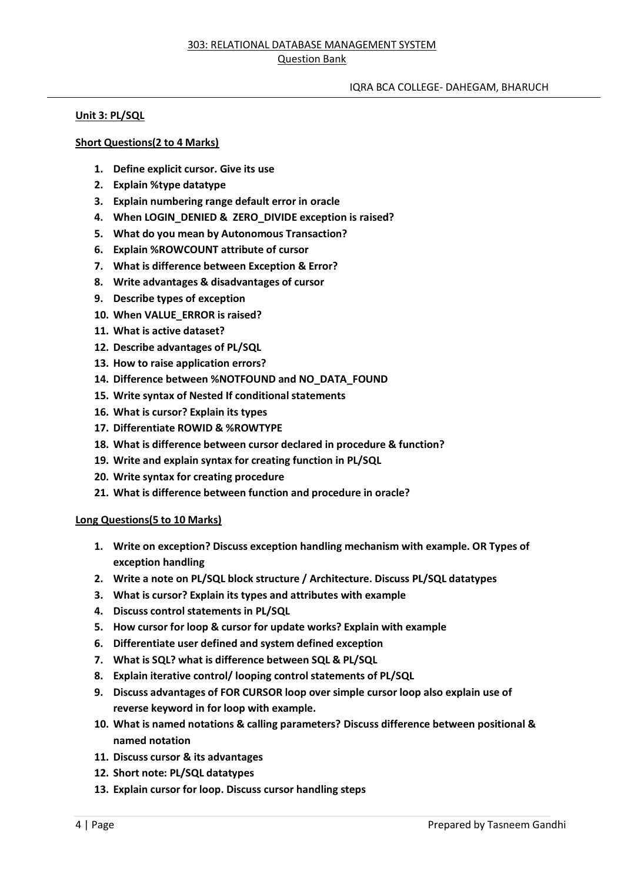# IQRA BCA COLLEGE- DAHEGAM, BHARUCH

# **Unit 3: PL/SQL**

# **Short Questions(2 to 4 Marks)**

- **1. Define explicit cursor. Give its use**
- **2. Explain %type datatype**
- **3. Explain numbering range default error in oracle**
- **4. When LOGIN\_DENIED & ZERO\_DIVIDE exception is raised?**
- **5. What do you mean by Autonomous Transaction?**
- **6. Explain %ROWCOUNT attribute of cursor**
- **7. What is difference between Exception & Error?**
- **8. Write advantages & disadvantages of cursor**
- **9. Describe types of exception**
- **10. When VALUE\_ERROR is raised?**
- **11. What is active dataset?**
- **12. Describe advantages of PL/SQL**
- **13. How to raise application errors?**
- **14. Difference between %NOTFOUND and NO\_DATA\_FOUND**
- **15. Write syntax of Nested If conditional statements**
- **16. What is cursor? Explain its types**
- **17. Differentiate ROWID & %ROWTYPE**
- **18. What is difference between cursor declared in procedure & function?**
- **19. Write and explain syntax for creating function in PL/SQL**
- **20. Write syntax for creating procedure**
- **21. What is difference between function and procedure in oracle?**

#### **Long Questions(5 to 10 Marks)**

- **1. Write on exception? Discuss exception handling mechanism with example. OR Types of exception handling**
- **2. Write a note on PL/SQL block structure / Architecture. Discuss PL/SQL datatypes**
- **3. What is cursor? Explain its types and attributes with example**
- **4. Discuss control statements in PL/SQL**
- **5. How cursor for loop & cursor for update works? Explain with example**
- **6. Differentiate user defined and system defined exception**
- **7. What is SQL? what is difference between SQL & PL/SQL**
- **8. Explain iterative control/ looping control statements of PL/SQL**
- **9. Discuss advantages of FOR CURSOR loop over simple cursor loop also explain use of reverse keyword in for loop with example.**
- **10. What is named notations & calling parameters? Discuss difference between positional & named notation**
- **11. Discuss cursor & its advantages**
- **12. Short note: PL/SQL datatypes**
- **13. Explain cursor for loop. Discuss cursor handling steps**